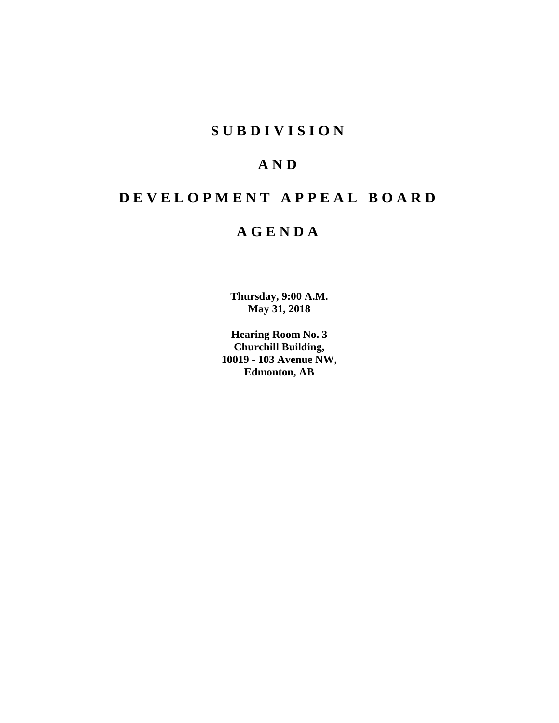# **S U B D I V I S I O N**

# **A N D**

# **D E V E L O P M E N T A P P E A L B O A R D**

# **A G E N D A**

**Thursday, 9:00 A.M. May 31, 2018**

**Hearing Room No. 3 Churchill Building, 10019 - 103 Avenue NW, Edmonton, AB**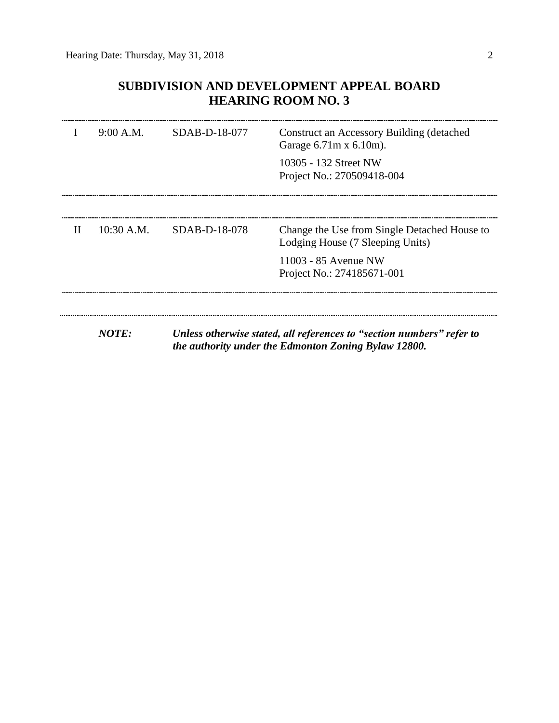# **SUBDIVISION AND DEVELOPMENT APPEAL BOARD HEARING ROOM NO. 3**

|              | 9:00 A.M.    | $SDAB-D-18-077$ | Construct an Accessory Building (detached<br>Garage $6.71m \times 6.10m$ ).<br>10305 - 132 Street NW<br>Project No.: 270509418-004 |
|--------------|--------------|-----------------|------------------------------------------------------------------------------------------------------------------------------------|
|              |              |                 |                                                                                                                                    |
| $\mathbf{H}$ | $10:30$ A.M. | SDAB-D-18-078   | Change the Use from Single Detached House to<br>Lodging House (7 Sleeping Units)                                                   |
|              |              |                 | 11003 - 85 Avenue NW<br>Project No.: 274185671-001                                                                                 |
|              |              |                 |                                                                                                                                    |
|              | NOTE:        |                 | Unless otherwise stated, all references to "section numbers" refer to<br>the authority under the Edmonton Zoning Bylaw 12800.      |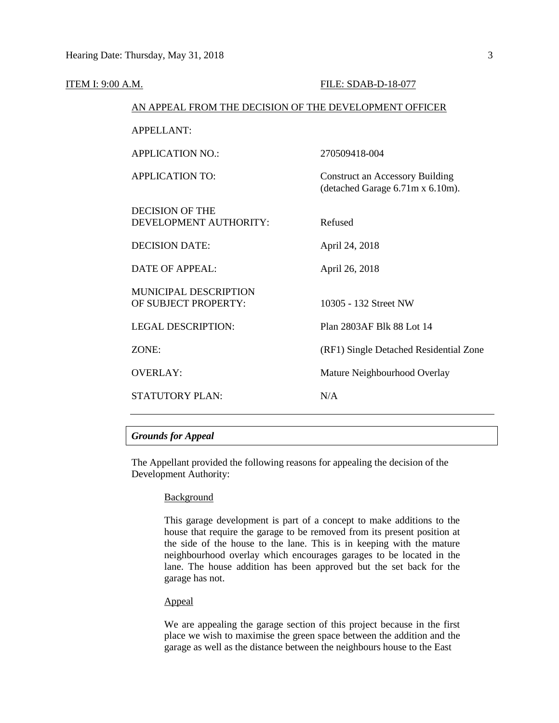| <b>ITEM I: 9:00 A.M.</b> |                                                        | FILE: SDAB-D-18-077                                                        |  |  |
|--------------------------|--------------------------------------------------------|----------------------------------------------------------------------------|--|--|
|                          | AN APPEAL FROM THE DECISION OF THE DEVELOPMENT OFFICER |                                                                            |  |  |
|                          | <b>APPELLANT:</b>                                      |                                                                            |  |  |
|                          | <b>APPLICATION NO.:</b>                                | 270509418-004                                                              |  |  |
|                          | <b>APPLICATION TO:</b>                                 | <b>Construct an Accessory Building</b><br>(detached Garage 6.71m x 6.10m). |  |  |
|                          | <b>DECISION OF THE</b><br>DEVELOPMENT AUTHORITY:       | Refused                                                                    |  |  |
|                          | <b>DECISION DATE:</b>                                  | April 24, 2018                                                             |  |  |
|                          | <b>DATE OF APPEAL:</b>                                 | April 26, 2018                                                             |  |  |
|                          | <b>MUNICIPAL DESCRIPTION</b><br>OF SUBJECT PROPERTY:   | 10305 - 132 Street NW                                                      |  |  |
|                          | <b>LEGAL DESCRIPTION:</b>                              | Plan 2803AF Blk 88 Lot 14                                                  |  |  |
|                          | ZONE:                                                  | (RF1) Single Detached Residential Zone                                     |  |  |
|                          | <b>OVERLAY:</b>                                        | Mature Neighbourhood Overlay                                               |  |  |
|                          | <b>STATUTORY PLAN:</b>                                 | N/A                                                                        |  |  |
|                          |                                                        |                                                                            |  |  |

# *Grounds for Appeal*

The Appellant provided the following reasons for appealing the decision of the Development Authority:

# **Background**

This garage development is part of a concept to make additions to the house that require the garage to be removed from its present position at the side of the house to the lane. This is in keeping with the mature neighbourhood overlay which encourages garages to be located in the lane. The house addition has been approved but the set back for the garage has not.

## Appeal

We are appealing the garage section of this project because in the first place we wish to maximise the green space between the addition and the garage as well as the distance between the neighbours house to the East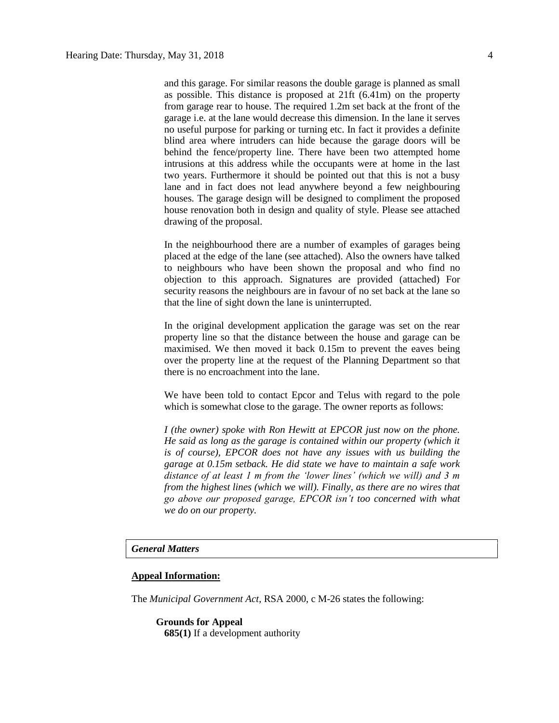and this garage. For similar reasons the double garage is planned as small as possible. This distance is proposed at 21ft (6.41m) on the property from garage rear to house. The required 1.2m set back at the front of the garage i.e. at the lane would decrease this dimension. In the lane it serves no useful purpose for parking or turning etc. In fact it provides a definite blind area where intruders can hide because the garage doors will be behind the fence/property line. There have been two attempted home intrusions at this address while the occupants were at home in the last two years. Furthermore it should be pointed out that this is not a busy lane and in fact does not lead anywhere beyond a few neighbouring houses. The garage design will be designed to compliment the proposed house renovation both in design and quality of style. Please see attached drawing of the proposal.

In the neighbourhood there are a number of examples of garages being placed at the edge of the lane (see attached). Also the owners have talked to neighbours who have been shown the proposal and who find no objection to this approach. Signatures are provided (attached) For security reasons the neighbours are in favour of no set back at the lane so that the line of sight down the lane is uninterrupted.

In the original development application the garage was set on the rear property line so that the distance between the house and garage can be maximised. We then moved it back 0.15m to prevent the eaves being over the property line at the request of the Planning Department so that there is no encroachment into the lane.

We have been told to contact Epcor and Telus with regard to the pole which is somewhat close to the garage. The owner reports as follows:

*I (the owner) spoke with Ron Hewitt at EPCOR just now on the phone. He said as long as the garage is contained within our property (which it is of course), EPCOR does not have any issues with us building the garage at 0.15m setback. He did state we have to maintain a safe work distance of at least 1 m from the 'lower lines' (which we will) and 3 m from the highest lines (which we will). Finally, as there are no wires that go above our proposed garage, EPCOR isn't too concerned with what we do on our property.*

## *General Matters*

### **Appeal Information:**

The *Municipal Government Act*, RSA 2000, c M-26 states the following:

**Grounds for Appeal 685(1)** If a development authority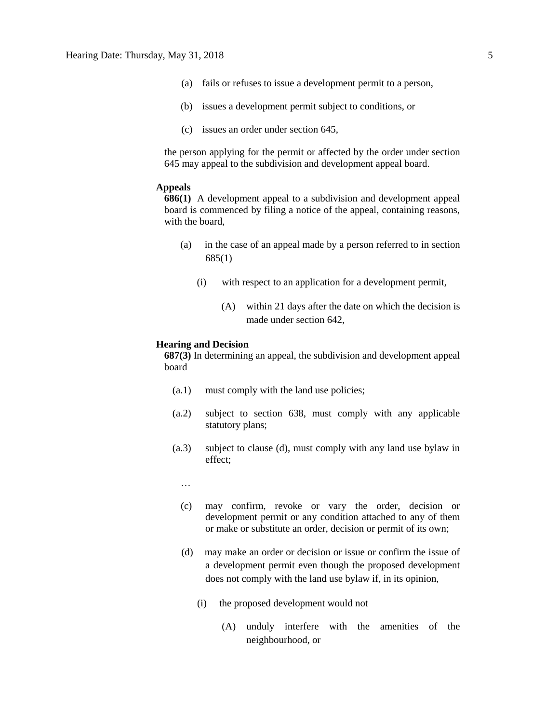- (a) fails or refuses to issue a development permit to a person,
- (b) issues a development permit subject to conditions, or
- (c) issues an order under section 645,

the person applying for the permit or affected by the order under section 645 may appeal to the subdivision and development appeal board.

# **Appeals**

**686(1)** A development appeal to a subdivision and development appeal board is commenced by filing a notice of the appeal, containing reasons, with the board,

- (a) in the case of an appeal made by a person referred to in section 685(1)
	- (i) with respect to an application for a development permit,
		- (A) within 21 days after the date on which the decision is made under section 642,

#### **Hearing and Decision**

**687(3)** In determining an appeal, the subdivision and development appeal board

- (a.1) must comply with the land use policies;
- (a.2) subject to section 638, must comply with any applicable statutory plans;
- (a.3) subject to clause (d), must comply with any land use bylaw in effect;
	- …
	- (c) may confirm, revoke or vary the order, decision or development permit or any condition attached to any of them or make or substitute an order, decision or permit of its own;
	- (d) may make an order or decision or issue or confirm the issue of a development permit even though the proposed development does not comply with the land use bylaw if, in its opinion,
		- (i) the proposed development would not
			- (A) unduly interfere with the amenities of the neighbourhood, or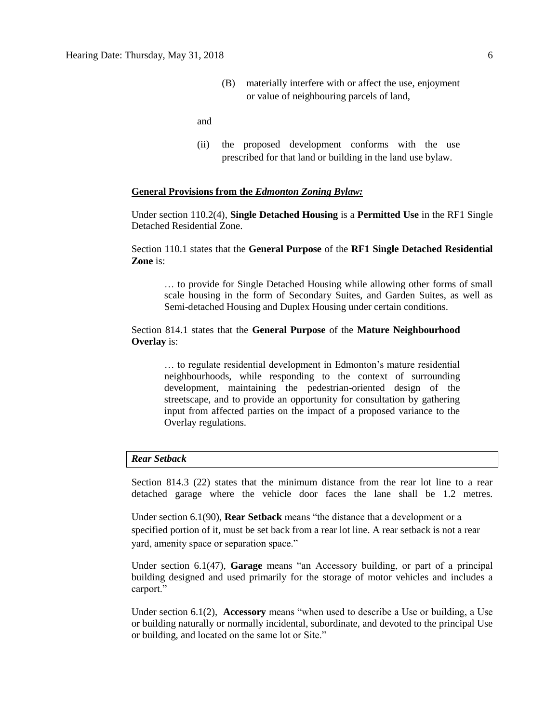(B) materially interfere with or affect the use, enjoyment or value of neighbouring parcels of land,

and

(ii) the proposed development conforms with the use prescribed for that land or building in the land use bylaw.

## **General Provisions from the** *Edmonton Zoning Bylaw:*

Under section 110.2(4), **Single Detached Housing** is a **Permitted Use** in the RF1 Single Detached Residential Zone.

Section 110.1 states that the **General Purpose** of the **RF1 Single Detached Residential Zone** is:

… to provide for Single Detached Housing while allowing other forms of small scale housing in the form of Secondary Suites, and Garden Suites, as well as Semi-detached Housing and Duplex Housing under certain conditions.

# Section 814.1 states that the **General Purpose** of the **Mature Neighbourhood Overlay** is:

… to regulate residential development in Edmonton's mature residential neighbourhoods, while responding to the context of surrounding development, maintaining the pedestrian-oriented design of the streetscape, and to provide an opportunity for consultation by gathering input from affected parties on the impact of a proposed variance to the Overlay regulations.

## *Rear Setback*

Section 814.3 (22) states that the minimum distance from the rear lot line to a rear detached garage where the vehicle door faces the lane shall be 1.2 metres.

Under section 6.1(90), **Rear Setback** means "the distance that a development or a specified portion of it, must be set back from a rear lot line. A rear setback is not a rear yard, amenity space or separation space."

Under section 6.1(47), **Garage** means "an Accessory building, or part of a principal building designed and used primarily for the storage of motor vehicles and includes a carport."

Under section 6.1(2), **Accessory** means "when used to describe a Use or building, a Use or building naturally or normally incidental, subordinate, and devoted to the principal Use or building, and located on the same lot or Site."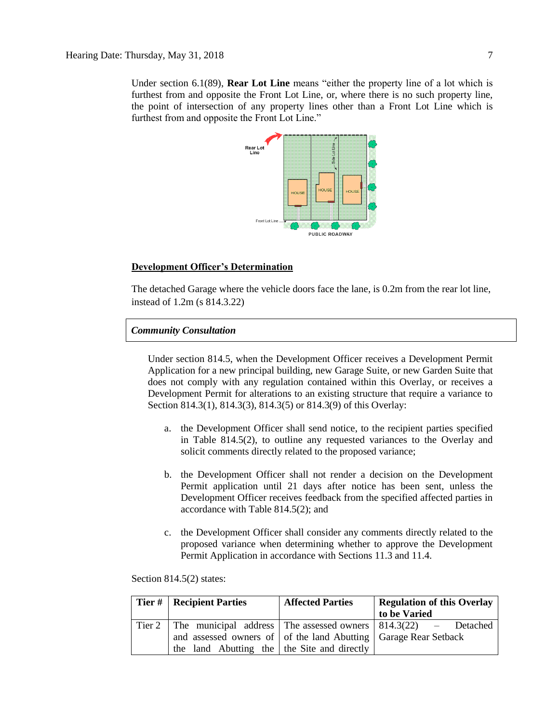Under section 6.1(89), **Rear Lot Line** means "either the property line of a lot which is furthest from and opposite the Front Lot Line, or, where there is no such property line, the point of intersection of any property lines other than a Front Lot Line which is furthest from and opposite the Front Lot Line."



# **Development Officer's Determination**

The detached Garage where the vehicle doors face the lane, is 0.2m from the rear lot line, instead of 1.2m (s 814.3.22)

# *Community Consultation*

Under section 814.5, when the Development Officer receives a Development Permit Application for a new principal building, new Garage Suite, or new Garden Suite that does not comply with any regulation contained within this Overlay, or receives a Development Permit for alterations to an existing structure that require a variance to Section 814.3(1), 814.3(3), 814.3(5) or 814.3(9) of this Overlay:

- a. the Development Officer shall send notice, to the recipient parties specified in Table 814.5(2), to outline any requested variances to the Overlay and solicit comments directly related to the proposed variance;
- b. the Development Officer shall not render a decision on the Development Permit application until 21 days after notice has been sent, unless the Development Officer receives feedback from the specified affected parties in accordance with Table 814.5(2); and
- c. the Development Officer shall consider any comments directly related to the proposed variance when determining whether to approve the Development Permit Application in accordance with Sections 11.3 and 11.4.

Section 814.5(2) states:

|  | Tier #   Recipient Parties                                      | <b>Affected Parties</b> | <b>Regulation of this Overlay</b>                                             |  |
|--|-----------------------------------------------------------------|-------------------------|-------------------------------------------------------------------------------|--|
|  |                                                                 |                         | to be Varied                                                                  |  |
|  |                                                                 |                         | Tier 2   The municipal address   The assessed owners   $814.3(22)$ - Detached |  |
|  | and assessed owners of of the land Abutting Garage Rear Setback |                         |                                                                               |  |
|  | the land Abutting the the Site and directly                     |                         |                                                                               |  |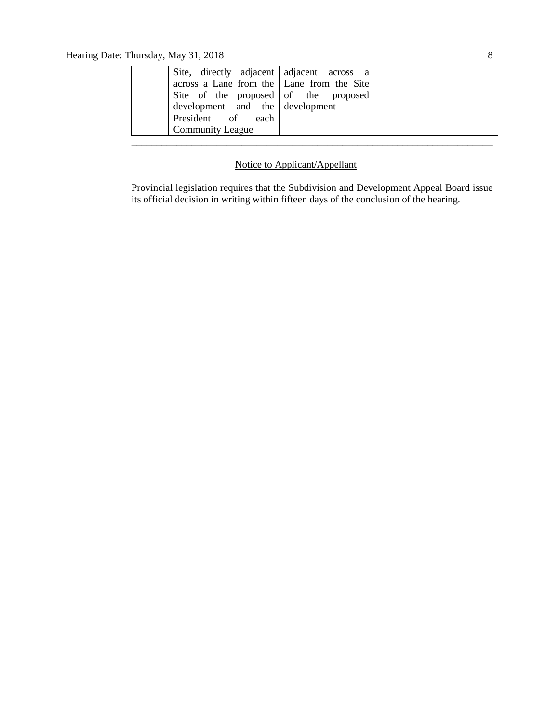| Site, directly adjacent adjacent across a   |  |
|---------------------------------------------|--|
| across a Lane from the   Lane from the Site |  |
| Site of the proposed of the proposed        |  |
| $development$ and the development           |  |
| President of each                           |  |
| <b>Community League</b>                     |  |
|                                             |  |

# Notice to Applicant/Appellant

Provincial legislation requires that the Subdivision and Development Appeal Board issue its official decision in writing within fifteen days of the conclusion of the hearing.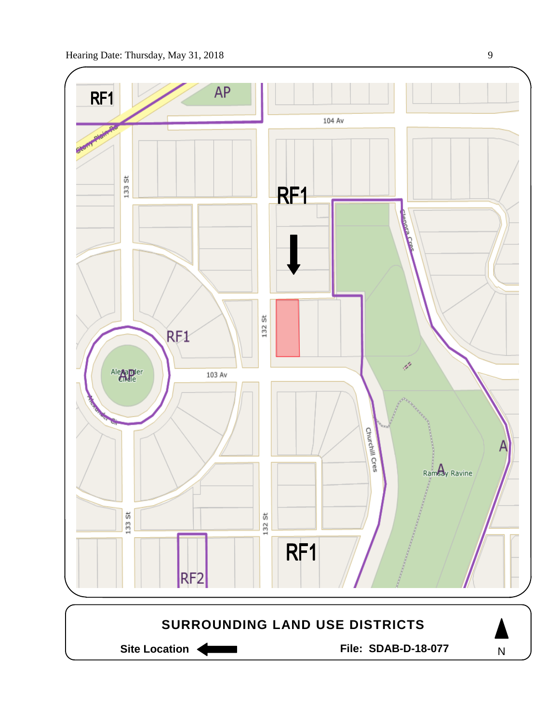

Site Location **Community Contracts** File: SDAB-D-18-077

N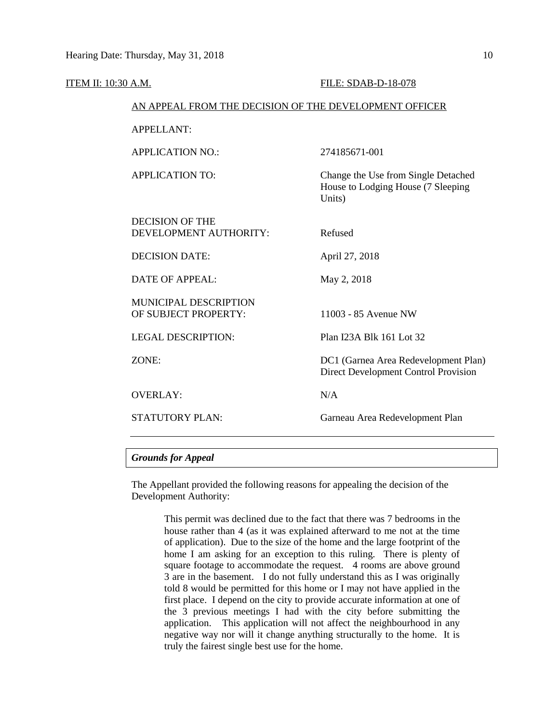| ITEM II: 10:30 A.M. |                                                        | FILE: SDAB-D-18-078                                                                 |  |  |  |
|---------------------|--------------------------------------------------------|-------------------------------------------------------------------------------------|--|--|--|
|                     | AN APPEAL FROM THE DECISION OF THE DEVELOPMENT OFFICER |                                                                                     |  |  |  |
|                     | <b>APPELLANT:</b>                                      |                                                                                     |  |  |  |
|                     | <b>APPLICATION NO.:</b>                                | 274185671-001                                                                       |  |  |  |
|                     | <b>APPLICATION TO:</b>                                 | Change the Use from Single Detached<br>House to Lodging House (7 Sleeping<br>Units) |  |  |  |
|                     | <b>DECISION OF THE</b><br>DEVELOPMENT AUTHORITY:       | Refused                                                                             |  |  |  |
|                     | <b>DECISION DATE:</b>                                  | April 27, 2018                                                                      |  |  |  |
|                     | DATE OF APPEAL:                                        | May 2, 2018                                                                         |  |  |  |
|                     | MUNICIPAL DESCRIPTION<br>OF SUBJECT PROPERTY:          | 11003 - 85 Avenue NW                                                                |  |  |  |
|                     | <b>LEGAL DESCRIPTION:</b>                              | Plan I23A Blk 161 Lot 32                                                            |  |  |  |
|                     | ZONE:                                                  | DC1 (Garnea Area Redevelopment Plan)<br>Direct Development Control Provision        |  |  |  |
|                     | <b>OVERLAY:</b>                                        | N/A                                                                                 |  |  |  |
|                     | <b>STATUTORY PLAN:</b>                                 | Garneau Area Redevelopment Plan                                                     |  |  |  |

# *Grounds for Appeal*

The Appellant provided the following reasons for appealing the decision of the Development Authority:

> This permit was declined due to the fact that there was 7 bedrooms in the house rather than 4 (as it was explained afterward to me not at the time of application). Due to the size of the home and the large footprint of the home I am asking for an exception to this ruling. There is plenty of square footage to accommodate the request. 4 rooms are above ground 3 are in the basement. I do not fully understand this as I was originally told 8 would be permitted for this home or I may not have applied in the first place. I depend on the city to provide accurate information at one of the 3 previous meetings I had with the city before submitting the application. This application will not affect the neighbourhood in any negative way nor will it change anything structurally to the home. It is truly the fairest single best use for the home.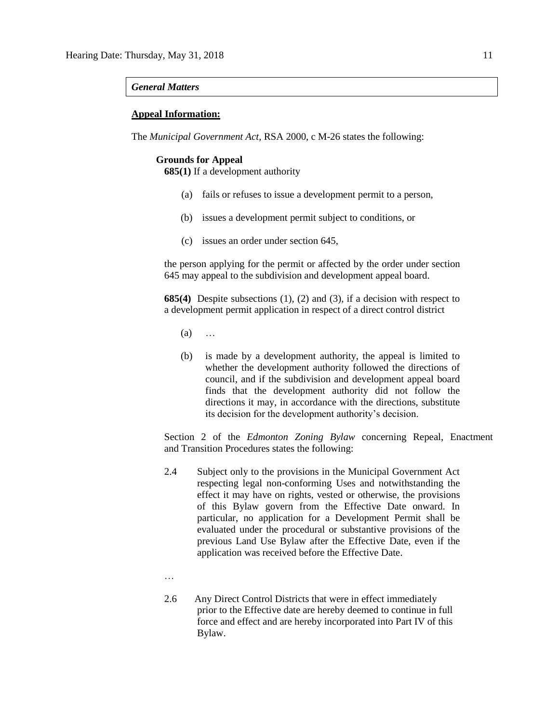### *General Matters*

## **Appeal Information:**

The *Municipal Government Act*, RSA 2000, c M-26 states the following:

## **Grounds for Appeal**

**685(1)** If a development authority

- (a) fails or refuses to issue a development permit to a person,
- (b) issues a development permit subject to conditions, or
- (c) issues an order under section 645,

the person applying for the permit or affected by the order under section 645 may appeal to the subdivision and development appeal board.

**685(4)** Despite subsections (1), (2) and (3), if a decision with respect to a development permit application in respect of a direct control district

- (a) …
- (b) is made by a development authority, the appeal is limited to whether the development authority followed the directions of council, and if the subdivision and development appeal board finds that the development authority did not follow the directions it may, in accordance with the directions, substitute its decision for the development authority's decision.

Section 2 of the *Edmonton Zoning Bylaw* concerning Repeal, Enactment and Transition Procedures states the following:

- 2.4 Subject only to the provisions in the Municipal Government Act respecting legal non-conforming Uses and notwithstanding the effect it may have on rights, vested or otherwise, the provisions of this Bylaw govern from the Effective Date onward. In particular, no application for a Development Permit shall be evaluated under the procedural or substantive provisions of the previous Land Use Bylaw after the Effective Date, even if the application was received before the Effective Date.
- …
- 2.6 Any Direct Control Districts that were in effect immediately prior to the Effective date are hereby deemed to continue in full force and effect and are hereby incorporated into Part IV of this Bylaw.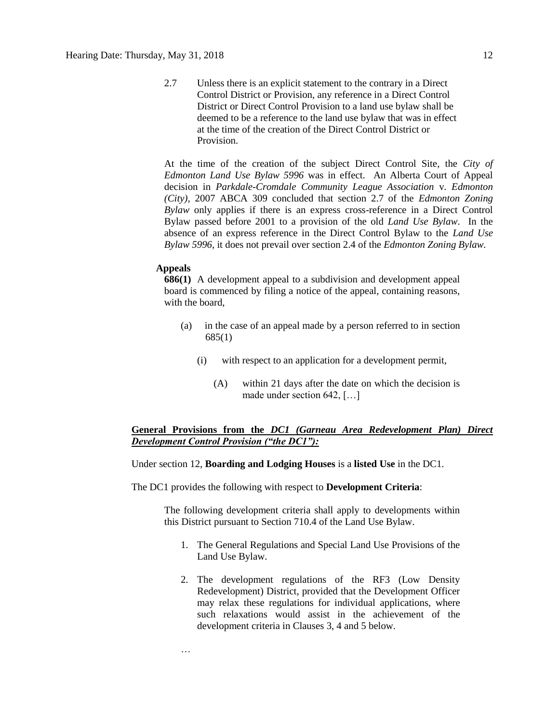2.7 Unless there is an explicit statement to the contrary in a Direct Control District or Provision, any reference in a Direct Control District or Direct Control Provision to a land use bylaw shall be deemed to be a reference to the land use bylaw that was in effect at the time of the creation of the Direct Control District or **Provision** 

At the time of the creation of the subject Direct Control Site, the *City of Edmonton Land Use Bylaw 5996* was in effect. An Alberta Court of Appeal decision in *Parkdale-Cromdale Community League Association* v. *Edmonton (City),* 2007 ABCA 309 concluded that section 2.7 of the *Edmonton Zoning Bylaw* only applies if there is an express cross-reference in a Direct Control Bylaw passed before 2001 to a provision of the old *Land Use Bylaw*. In the absence of an express reference in the Direct Control Bylaw to the *Land Use Bylaw 5996*, it does not prevail over section 2.4 of the *Edmonton Zoning Bylaw.*

#### **Appeals**

**686(1)** A development appeal to a subdivision and development appeal board is commenced by filing a notice of the appeal, containing reasons, with the board,

- (a) in the case of an appeal made by a person referred to in section 685(1)
	- (i) with respect to an application for a development permit,
		- (A) within 21 days after the date on which the decision is made under section 642, […]

# **General Provisions from the** *DC1 (Garneau Area Redevelopment Plan) Direct Development Control Provision ("the DC1"):*

## Under section 12, **Boarding and Lodging Houses** is a **listed Use** in the DC1.

The DC1 provides the following with respect to **Development Criteria**:

The following development criteria shall apply to developments within this District pursuant to Section 710.4 of the Land Use Bylaw.

- 1. The General Regulations and Special Land Use Provisions of the Land Use Bylaw.
- 2. The development regulations of the RF3 (Low Density Redevelopment) District, provided that the Development Officer may relax these regulations for individual applications, where such relaxations would assist in the achievement of the development criteria in Clauses 3, 4 and 5 below.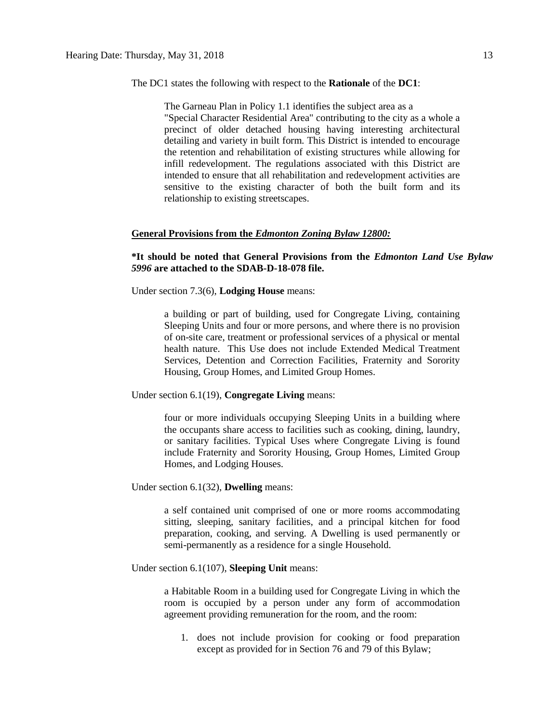### The DC1 states the following with respect to the **Rationale** of the **DC1**:

The Garneau Plan in Policy 1.1 identifies the subject area as a "Special Character Residential Area" contributing to the city as a whole a precinct of older detached housing having interesting architectural detailing and variety in built form. This District is intended to encourage the retention and rehabilitation of existing structures while allowing for infill redevelopment. The regulations associated with this District are intended to ensure that all rehabilitation and redevelopment activities are sensitive to the existing character of both the built form and its relationship to existing streetscapes.

### **General Provisions from the** *Edmonton Zoning Bylaw 12800:*

# **\*It should be noted that General Provisions from the** *Edmonton Land Use Bylaw 5996* **are attached to the SDAB-D-18-078 file.**

Under section 7.3(6), **Lodging House** means:

a building or part of building, used for Congregate Living, containing Sleeping Units and four or more persons, and where there is no provision of on-site care, treatment or professional services of a physical or mental health nature. This Use does not include Extended Medical Treatment Services, Detention and Correction Facilities, Fraternity and Sorority Housing, Group Homes, and Limited Group Homes.

Under section 6.1(19), **Congregate Living** means:

four or more individuals occupying Sleeping Units in a building where the occupants share access to facilities such as cooking, dining, laundry, or sanitary facilities. Typical Uses where Congregate Living is found include Fraternity and Sorority Housing, Group Homes, Limited Group Homes, and Lodging Houses.

Under section 6.1(32), **Dwelling** means:

a self contained unit comprised of one or more rooms accommodating sitting, sleeping, sanitary facilities, and a principal kitchen for food preparation, cooking, and serving. A Dwelling is used permanently or semi-permanently as a residence for a single Household.

Under section 6.1(107), **Sleeping Unit** means:

a Habitable Room in a building used for Congregate Living in which the room is occupied by a person under any form of accommodation agreement providing remuneration for the room, and the room:

1. does not include provision for cooking or food preparation except as provided for in Section 76 and 79 of this Bylaw;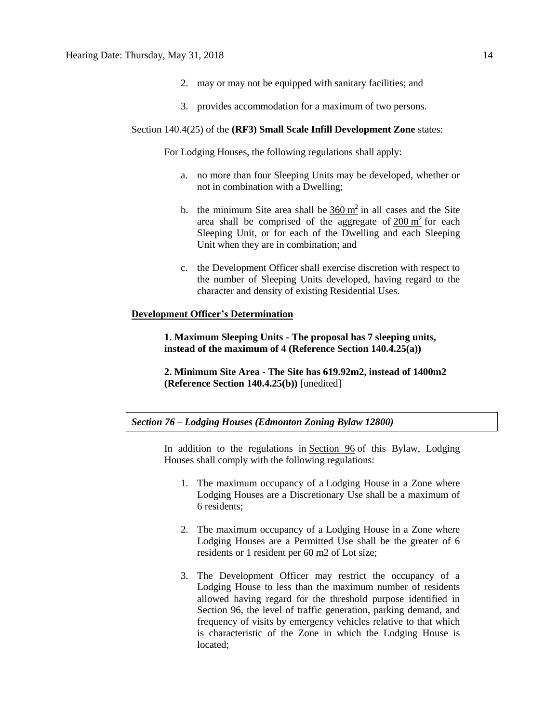- 2. may or may not be equipped with sanitary facilities; and
- 3. provides accommodation for a maximum of two persons.

### Section 140.4(25) of the **(RF3) Small Scale Infill Development Zone** states:

For Lodging Houses, the following regulations shall apply:

- a. no more than four Sleeping Units may be developed, whether or not in combination with a Dwelling;
- b. the minimum Site area shall be  $360 \text{ m}^2$  $360 \text{ m}^2$  in all cases and the Site area shall be comprised of the aggregate of  $200 \text{ m}^2$  $200 \text{ m}^2$  for each Sleeping Unit, or for each of the Dwelling and each Sleeping Unit when they are in combination; and
- c. the Development Officer shall exercise discretion with respect to the number of Sleeping Units developed, having regard to the character and density of existing Residential Uses.

# **Development Officer's Determination**

**1. Maximum Sleeping Units - The proposal has 7 sleeping units, instead of the maximum of 4 (Reference Section 140.4.25(a))**

**2. Minimum Site Area - The Site has 619.92m2, instead of 1400m2 (Reference Section 140.4.25(b))** [unedited]

## *Section 76 – Lodging Houses (Edmonton Zoning Bylaw 12800)*

In addition to the regulations in [Section 96](https://webdocs.edmonton.ca/InfraPlan/zoningbylaw/ZoningBylaw/Part1/Special_Land/96._Fraternity_and_Sorority_Housing,_Limited_Group_Homes,_Group_Homes,_and_Lodging_Houses_Thresholds.htm) of this Bylaw, Lodging Houses shall comply with the following regulations:

- 1. The maximum occupancy of a [Lodging House](javascript:void(0);) in a Zone where Lodging Houses are a Discretionary Use shall be a maximum of 6 residents;
- 2. The maximum occupancy of a Lodging House in a Zone where Lodging Houses are a Permitted Use shall be the greater of 6 residents or 1 resident per [60 m2](javascript:void(0);) of Lot size;
- 3. The Development Officer may restrict the occupancy of a Lodging House to less than the maximum number of residents allowed having regard for the threshold purpose identified in Section 96, the level of traffic generation, parking demand, and frequency of visits by emergency vehicles relative to that which is characteristic of the Zone in which the Lodging House is located;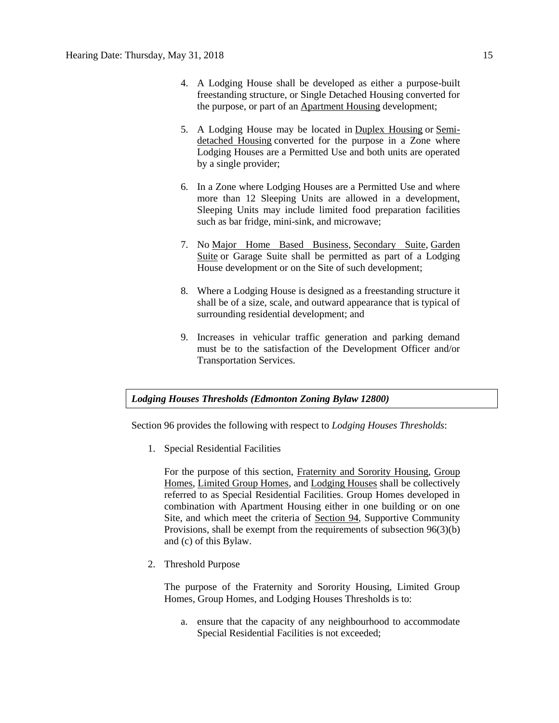- 4. A Lodging House shall be developed as either a purpose-built freestanding structure, or Single Detached Housing converted for the purpose, or part of an [Apartment Housing](javascript:void(0);) development;
- 5. A Lodging House may be located in [Duplex Housing](javascript:void(0);) or [Semi](javascript:void(0);)[detached Housing](javascript:void(0);) converted for the purpose in a Zone where Lodging Houses are a Permitted Use and both units are operated by a single provider;
- 6. In a Zone where Lodging Houses are a Permitted Use and where more than 12 Sleeping Units are allowed in a development, Sleeping Units may include limited food preparation facilities such as bar fridge, mini-sink, and microwave;
- 7. No [Major Home Based Business,](javascript:void(0);) [Secondary Suite,](javascript:void(0);) [Garden](javascript:void(0);)  [Suite](javascript:void(0);) or Garage Suite shall be permitted as part of a Lodging House development or on the Site of such development;
- 8. Where a Lodging House is designed as a freestanding structure it shall be of a size, scale, and outward appearance that is typical of surrounding residential development; and
- 9. Increases in vehicular traffic generation and parking demand must be to the satisfaction of the Development Officer and/or Transportation Services.

# *Lodging Houses Thresholds (Edmonton Zoning Bylaw 12800)*

Section 96 provides the following with respect to *Lodging Houses Thresholds*:

1. Special Residential Facilities

For the purpose of this section, [Fraternity and Sorority Housing, Group](javascript:void(0);)  [Homes, Limited Group Homes,](javascript:void(0);) and [Lodging Houses](javascript:void(0);) shall be collectively referred to as Special Residential Facilities. Group Homes developed in combination with Apartment Housing either in one building or on one Site, and which meet the criteria of [Section 94,](http://webdocs.edmonton.ca/InfraPlan/zoningbylaw/ZoningBylaw/Part1/Special_Land/94._Supportive_Community_Provision.htm) Supportive Community Provisions, shall be exempt from the requirements of subsection 96(3)(b) and (c) of this Bylaw.

2. Threshold Purpose

The purpose of the Fraternity and Sorority Housing, Limited Group Homes, Group Homes, and Lodging Houses Thresholds is to:

a. ensure that the capacity of any neighbourhood to accommodate Special Residential Facilities is not exceeded;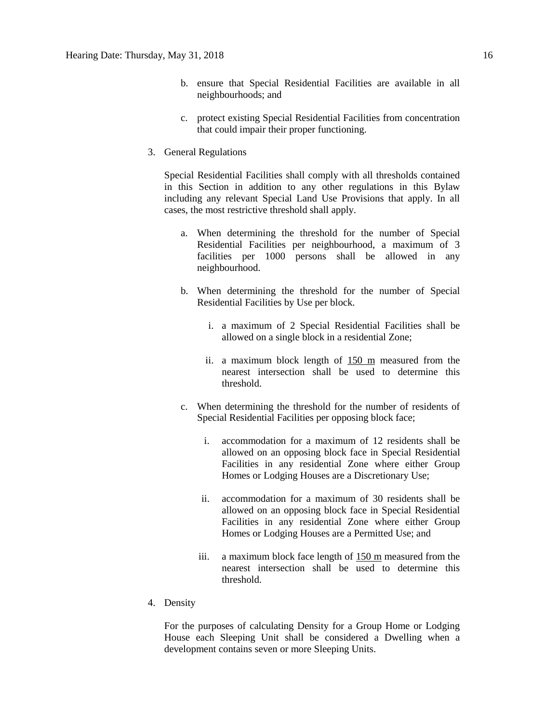- b. ensure that Special Residential Facilities are available in all neighbourhoods; and
- c. protect existing Special Residential Facilities from concentration that could impair their proper functioning.
- 3. General Regulations

Special Residential Facilities shall comply with all thresholds contained in this Section in addition to any other regulations in this Bylaw including any relevant Special Land Use Provisions that apply. In all cases, the most restrictive threshold shall apply.

- a. When determining the threshold for the number of Special Residential Facilities per neighbourhood, a maximum of 3 facilities per 1000 persons shall be allowed in any neighbourhood.
- b. When determining the threshold for the number of Special Residential Facilities by Use per block.
	- i. a maximum of 2 Special Residential Facilities shall be allowed on a single block in a residential Zone;
	- ii. a maximum block length of [150 m](javascript:void(0);) measured from the nearest intersection shall be used to determine this threshold.
- c. When determining the threshold for the number of residents of Special Residential Facilities per opposing block face;
	- i. accommodation for a maximum of 12 residents shall be allowed on an opposing block face in Special Residential Facilities in any residential Zone where either Group Homes or Lodging Houses are a Discretionary Use;
	- ii. accommodation for a maximum of 30 residents shall be allowed on an opposing block face in Special Residential Facilities in any residential Zone where either Group Homes or Lodging Houses are a Permitted Use; and
	- iii. a maximum block face length of [150 m](javascript:void(0);) measured from the nearest intersection shall be used to determine this threshold.
- 4. Density

For the purposes of calculating Density for a Group Home or Lodging House each Sleeping Unit shall be considered a Dwelling when a development contains seven or more Sleeping Units.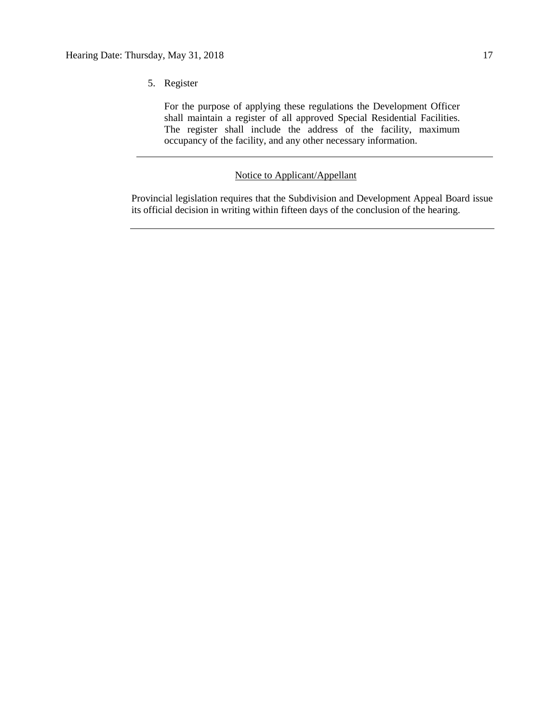For the purpose of applying these regulations the Development Officer shall maintain a register of all approved Special Residential Facilities. The register shall include the address of the facility, maximum occupancy of the facility, and any other necessary information.

# Notice to Applicant/Appellant

Provincial legislation requires that the Subdivision and Development Appeal Board issue its official decision in writing within fifteen days of the conclusion of the hearing.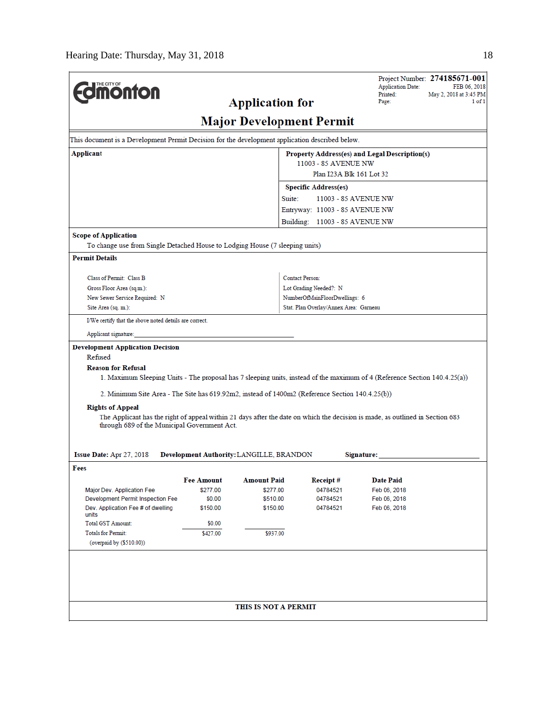| THE CITY OF                                                                                                                   |            |                                          |                                                         | <b>Application Date:</b> | Project Number: 274185671-001<br>FEB 06, 2018 |
|-------------------------------------------------------------------------------------------------------------------------------|------------|------------------------------------------|---------------------------------------------------------|--------------------------|-----------------------------------------------|
| <b><i><u>monton</u></i></b>                                                                                                   |            |                                          |                                                         | Printed:                 | May 2, 2018 at 3:45 PM                        |
|                                                                                                                               |            | <b>Application for</b>                   |                                                         | Page:                    | 1 of 1                                        |
|                                                                                                                               |            |                                          | <b>Major Development Permit</b>                         |                          |                                               |
| This document is a Development Permit Decision for the development application described below.                               |            |                                          |                                                         |                          |                                               |
| Applicant<br>Property Address(es) and Legal Description(s)                                                                    |            |                                          |                                                         |                          |                                               |
| 11003 - 85 AVENUE NW<br>Plan I23A Blk 161 Lot 32                                                                              |            |                                          |                                                         |                          |                                               |
|                                                                                                                               |            |                                          |                                                         |                          |                                               |
|                                                                                                                               |            |                                          | <b>Specific Address(es)</b><br>Suite:                   | 11003 - 85 AVENUE NW     |                                               |
|                                                                                                                               |            |                                          | Entryway: 11003 - 85 AVENUE NW                          |                          |                                               |
|                                                                                                                               |            |                                          | Building: 11003 - 85 AVENUE NW                          |                          |                                               |
| <b>Scope of Application</b>                                                                                                   |            |                                          |                                                         |                          |                                               |
| To change use from Single Detached House to Lodging House (7 sleeping units)                                                  |            |                                          |                                                         |                          |                                               |
| <b>Permit Details</b>                                                                                                         |            |                                          |                                                         |                          |                                               |
|                                                                                                                               |            |                                          |                                                         |                          |                                               |
| Class of Permit: Class B<br>Gross Floor Area (sq.m.):                                                                         |            |                                          | <b>Contact Person:</b>                                  |                          |                                               |
| New Sewer Service Required: N                                                                                                 |            |                                          | Lot Grading Needed?: N<br>NumberOfMainFloorDwellings: 6 |                          |                                               |
| Site Area (sq. m.):                                                                                                           |            |                                          | Stat. Plan Overlay/Annex Area: Garneau                  |                          |                                               |
| I/We certify that the above noted details are correct.                                                                        |            |                                          |                                                         |                          |                                               |
| Applicant signature:                                                                                                          |            |                                          |                                                         |                          |                                               |
| <b>Development Application Decision</b>                                                                                       |            |                                          |                                                         |                          |                                               |
| Refused                                                                                                                       |            |                                          |                                                         |                          |                                               |
| <b>Reason for Refusal</b>                                                                                                     |            |                                          |                                                         |                          |                                               |
| 1. Maximum Sleeping Units - The proposal has 7 sleeping units, instead of the maximum of 4 (Reference Section 140.4.25(a))    |            |                                          |                                                         |                          |                                               |
| 2. Minimum Site Area - The Site has 619.92m2, instead of 1400m2 (Reference Section 140.4.25(b))                               |            |                                          |                                                         |                          |                                               |
| <b>Rights of Appeal</b>                                                                                                       |            |                                          |                                                         |                          |                                               |
| The Applicant has the right of appeal within 21 days after the date on which the decision is made, as outlined in Section 683 |            |                                          |                                                         |                          |                                               |
| through 689 of the Municipal Government Act.                                                                                  |            |                                          |                                                         |                          |                                               |
|                                                                                                                               |            |                                          |                                                         |                          |                                               |
| Issue Date: Apr 27, 2018                                                                                                      |            | Development Authority: LANGILLE, BRANDON |                                                         | Signature:               |                                               |
| Fees                                                                                                                          |            |                                          |                                                         |                          |                                               |
|                                                                                                                               | Fee Amount | <b>Amount Paid</b>                       | Receipt#                                                | <b>Date Paid</b>         |                                               |
| Major Dev. Application Fee                                                                                                    | \$277.00   | \$277.00                                 | 04784521                                                | Feb 06, 2018             |                                               |
| Development Permit Inspection Fee                                                                                             | \$0.00     | \$510.00                                 | 04784521                                                | Feb 06, 2018             |                                               |
| Dev. Application Fee # of dwelling<br>units                                                                                   | \$150.00   | \$150.00                                 | 04784521                                                | Feb 06, 2018             |                                               |
| <b>Total GST Amount:</b>                                                                                                      | \$0.00     |                                          |                                                         |                          |                                               |
| <b>Totals for Permit:</b>                                                                                                     | \$427.00   | \$937.00                                 |                                                         |                          |                                               |
| (overpaid by (\$510.00))                                                                                                      |            |                                          |                                                         |                          |                                               |
|                                                                                                                               |            |                                          |                                                         |                          |                                               |
|                                                                                                                               |            |                                          |                                                         |                          |                                               |
|                                                                                                                               |            |                                          |                                                         |                          |                                               |
|                                                                                                                               |            |                                          |                                                         |                          |                                               |
|                                                                                                                               |            | THIS IS NOT A PERMIT                     |                                                         |                          |                                               |
|                                                                                                                               |            |                                          |                                                         |                          |                                               |